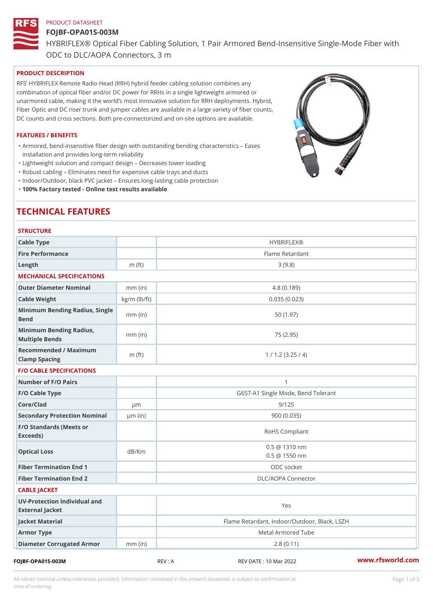# PRODUCT DATASHEET FOJBF-OPA01S-003M HYBRIFLEX® Optical Fiber Cabling Solution, 1 Pair Armored Bend-Inse ODC to DLC/AOPA Connectors, 3 m

### PRODUCT DESCRIPTION

RFS HYBRIFLEX Remote Radio Head (RRH) hybrid feeder cabling solution combines any combination of optical fiber and/or DC power for RRHs in a single lightweight armored or unarmored cable, making it the world s most innovative solution for RRH deployments. Hybrid, Fiber Optic and DC riser trunk and jumper cables are available in a large variety of fiber counts, DC counts and cross sections. Both pre-connectorized and on-site options are available.

### FEATURES / BENEFITS

Armored, bend-insensitive fiber design with outstanding bending characteristics Eases " installation and provides long-term reliability

"Lightweight solution and compact design Decreases tower loading

"Robust cabling Eliminates need for expensive cable trays and ducts

"Indoor/Outdoor, black PVC jacket Ensures long-lasting cable protection

"100% Factory tested - Online test results available

# TECHNICAL FEATURES

| <b>STRUCTURE</b>                                  |                    |                                                |
|---------------------------------------------------|--------------------|------------------------------------------------|
| Cable Type                                        |                    | <b>HYBRIFLEX®</b>                              |
| Fire Performance                                  |                    | Flame Retardant                                |
| $L$ ength                                         | m $(ft)$           | 3(9.8)                                         |
| MECHANICAL SPECIFICATIONS                         |                    |                                                |
| Outer Diameter Nominal                            | $mm$ (in)          | 4.8(0.189)                                     |
| Cable Weight                                      | $kg/m$ ( $lb/ft$ ) | 0.035(0.023)                                   |
| Minimum Bending Radius, Single<br>mm (in)<br>Bend |                    | 50 (1.97)                                      |
| Minimum Bending Radius, mm (in)<br>Multiple Bends |                    | 75 (2.95)                                      |
| Recommended / Maximum<br>Clamp Spacing            | m $(ft)$           | 1 / 1.2 (3.25 / 4)                             |
| <b>F/O CABLE SPECIFICATIONS</b>                   |                    |                                                |
| Number of F/O Pairs                               |                    | $\mathbf{1}$                                   |
| F/O Cable Type                                    |                    | G657-A1 Single Mode, Bend Tolerant             |
| Core/Clad                                         | $\mu$ m            | 9/125                                          |
| Secondary Protection Nomumal(in)                  |                    | 900(0.035)                                     |
| F/O Standards (Meets or<br>Exceeds)               |                    | RoHS Compliant                                 |
| Optical Loss                                      | dB/Km              | $0.5 \ @ \ 1310 \ nm$<br>$0.5 \ @ \ 1550 \ nm$ |
| Fiber Termination End                             |                    | ODC socket                                     |
| Fiber Termination End 2                           |                    | DLC/AOPA Connector                             |
| CABLE JACKET                                      |                    |                                                |
| UV-Protection Individual and<br>External Jacket   |                    | Yes                                            |
| Jacket Material                                   |                    | Flame Retardant, Indoor/Outdoor, Black, LSZH   |
| Armor Type                                        |                    | Metal Armored Tube                             |
| Diameter Corrugated Armomm (in)                   |                    | 2.8(0.11)                                      |
|                                                   |                    |                                                |

FOJBF-OPA01S-003M REV : A REV DATE : 10 Mar 2022 [www.](https://www.rfsworld.com)rfsworld.com

All values nominal unless tolerances provided; information contained in the present datasheet is subject to Pcapgeign mation time of ordering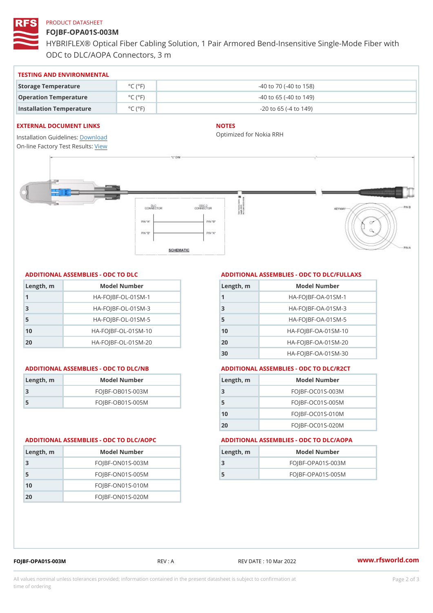# PRODUCT DATASHEET

## FOJBF-OPA01S-003M

HYBRIFLEX® Optical Fiber Cabling Solution, 1 Pair Armored Bend-Inse ODC to DLC/AOPA Connectors, 3 m

### TESTING AND ENVIRONMENTAL

| Storage Temperature              | $^{\circ}$ C ( $^{\circ}$ F $\vert$ | $-40$ to $70$ ( $-40$ to $158$ ) |
|----------------------------------|-------------------------------------|----------------------------------|
| Operation Temperature            | $^{\circ}$ C ( $^{\circ}$ F $\vert$ | $-40$ to 65 ( $-40$ to 149)      |
| Installation Temperature °C (°F) |                                     | $-20$ to 65 ( $-4$ to 149)       |

### EXTERNAL DOCUMENT LINKS

Installation Guidelwinessad On-line Factory Te[s](https://www.rfsworld.com/pictures/userfiles/programs/AAST Latest Version.zip)teResults:

## NOTES

Optimized for Nokia RRH

| Length, m    | Model Number                   |
|--------------|--------------------------------|
| $\mathbf{1}$ | $HA - FOJBF - OL - 01SM - 1$   |
| -3           | $HA - FOJBF - O L - 01SM - 3$  |
| 5            | $HA - FOJBF - OL - 01SM - 5$   |
| 10           | $HA - FOJBF - O L - 01SM - 10$ |
| 20           | $HA - FOJBF - O L - 01SM - 20$ |

| Length, m | Model Number       |
|-----------|--------------------|
| -3        | $FOJBF-OBO1S-OO3M$ |
| -5        | $FOJBF-OBO1S-OO5M$ |

### ADDITIONAL ASSEMBLIES - ODC TO DLC ADDITIONAL ASSEMBLIES - ODC TO DLC/FULLAXS

| $L$ ength, $n$ | Model Number                  |
|----------------|-------------------------------|
|                | $HA - FOJBF - OA - 01SM - 1$  |
| 3              | $HA-FOJBF-OA-01SM-3$          |
| 5              | $HA - FOJBF - OA - 01SM - 5$  |
| 10             | $HA-FOJBF-OA-01SM-10$         |
| 20             | $HA - FOJBF - OA - 01SM - 20$ |
| 30             | $HA-FOJBF-OA-01SM-30$         |

### ADDITIONAL ASSEMBLIES - ODC TO DLC/NB ADDITIONAL ASSEMBLIES - ODC TO DLC/R2CT

| $L$ ength, $rn$ | Model Number       |
|-----------------|--------------------|
| -3              | $FOJBF-OCO1S-OO3M$ |
| -5              | $FOJBF-OCO1S-OO5M$ |
| 10              | $FOJBF-OCO1S-010M$ |
| 20              | $FOJBF-OCO1S-020M$ |

### ADDITIONAL ASSEMBLIES - ODC TO DLC/AOPC ADDITIONAL ASSEMBLIES - ODC TO DLC/AOPA

| Length, m | Model Number        |
|-----------|---------------------|
|           | $FOJBF-OPAO1S-003M$ |
| 5         | $FOJBF-OPAO1S-005M$ |

| Length, m | Model Number       |
|-----------|--------------------|
| 3         | FOJBF-ON01S-003M   |
| -5        | FOJBF-ON01S-005M   |
| 10        | $FOJBF-ONO1S-010M$ |
| 20        | FOJBF-ON01S-020M   |

FOJBF-OPA01S-003M REV : A REV DATE : 10 Mar 2022 [www.](https://www.rfsworld.com)rfsworld.com

All values nominal unless tolerances provided; information contained in the present datasheet is subject to Pcapgelio an atio time of ordering